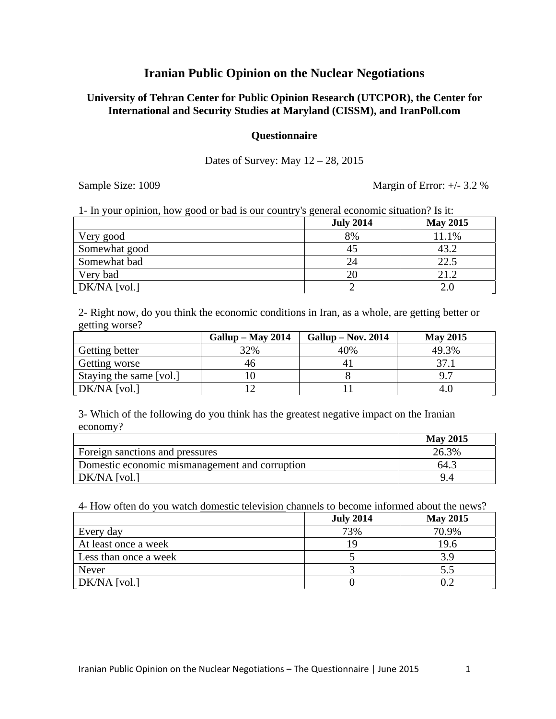# **Iranian Public Opinion on the Nuclear Negotiations**

# **University of Tehran Center for Public Opinion Research (UTCPOR), the Center for International and Security Studies at Maryland (CISSM), and IranPoll.com**

#### **Questionnaire**

### Dates of Survey: May 12 – 28, 2015

Sample Size: 1009 Margin of Error:  $+/- 3.2 \%$ 

| 1- In your opinion, how good or bad is our country's general economic situation? Is it: |                  |                 |
|-----------------------------------------------------------------------------------------|------------------|-----------------|
|                                                                                         | <b>July 2014</b> | <b>May 2015</b> |
| Very good                                                                               | 8%               | 11.1%           |
| Somewhat good                                                                           | 45               | 43.2            |
| Somewhat bad                                                                            | 24               | 22.5            |
| Very bad                                                                                | 20               | 21.2            |
| DK/NA [vol.]                                                                            |                  | 2.0             |

2- Right now, do you think the economic conditions in Iran, as a whole, are getting better or getting worse?

|                         | Gallup – May 2014 | $Gallup - Nov. 2014$ | <b>May 2015</b> |
|-------------------------|-------------------|----------------------|-----------------|
| Getting better          | 32%               | 40%                  | 49.3%           |
| Getting worse           | 40                |                      | 37.             |
| Staying the same [vol.] |                   |                      | 9.7             |
| $DK/NA$ [vol.]          |                   |                      | 4.U             |

3- Which of the following do you think has the greatest negative impact on the Iranian economy?

|                                                | <b>May 2015</b> |
|------------------------------------------------|-----------------|
| Foreign sanctions and pressures                | 26.3%           |
| Domestic economic mismanagement and corruption | 64.3            |
| DK/NA [vol.]                                   |                 |

4- How often do you watch domestic television channels to become informed about the news?

|                       | <b>July 2014</b> | <b>May 2015</b> |
|-----------------------|------------------|-----------------|
| Every day             | 73%              | 70.9%           |
| At least once a week  |                  | 19.6            |
| Less than once a week |                  | 3.9             |
| Never                 |                  | 5.5             |
| $DK/NA$ [vol.]        |                  |                 |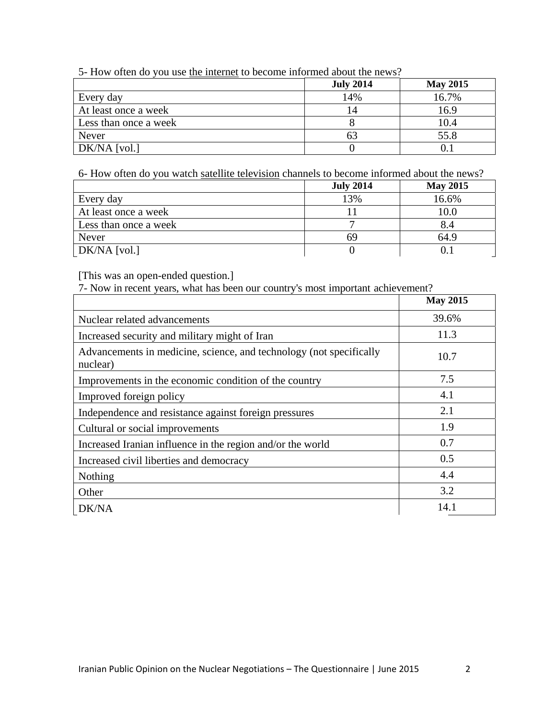| 5- How often do you use the internet to become informed about the news? |
|-------------------------------------------------------------------------|
|-------------------------------------------------------------------------|

|                       | <b>July 2014</b> | <b>May 2015</b> |
|-----------------------|------------------|-----------------|
| Every day             | 14%              | 16.7%           |
| At least once a week  | 14               | 16.9            |
| Less than once a week |                  | 10.4            |
| Never                 |                  | 55.8            |
| DK/NA [vol.]          |                  |                 |

6- How often do you watch satellite television channels to become informed about the news?

|                       | <b>July 2014</b> | <b>May 2015</b> |
|-----------------------|------------------|-----------------|
| Every day             | 13%              | 16.6%           |
| At least once a week  |                  | 10.0            |
| Less than once a week |                  | 8.4             |
| Never                 | 69               | 64.9            |
| DK/NA [vol.]          |                  |                 |

[This was an open-ended question.]

7- Now in recent years, what has been our country's most important achievement?

|                                                                                 | <b>May 2015</b> |
|---------------------------------------------------------------------------------|-----------------|
| Nuclear related advancements                                                    | 39.6%           |
| Increased security and military might of Iran                                   | 11.3            |
| Advancements in medicine, science, and technology (not specifically<br>nuclear) | 10.7            |
| Improvements in the economic condition of the country                           | 7.5             |
| Improved foreign policy                                                         | 4.1             |
| Independence and resistance against foreign pressures                           | 2.1             |
| Cultural or social improvements                                                 | 1.9             |
| Increased Iranian influence in the region and/or the world                      | 0.7             |
| Increased civil liberties and democracy                                         | 0.5             |
| Nothing                                                                         | 4.4             |
| Other                                                                           | 3.2             |
| DK/NA                                                                           | 14.1            |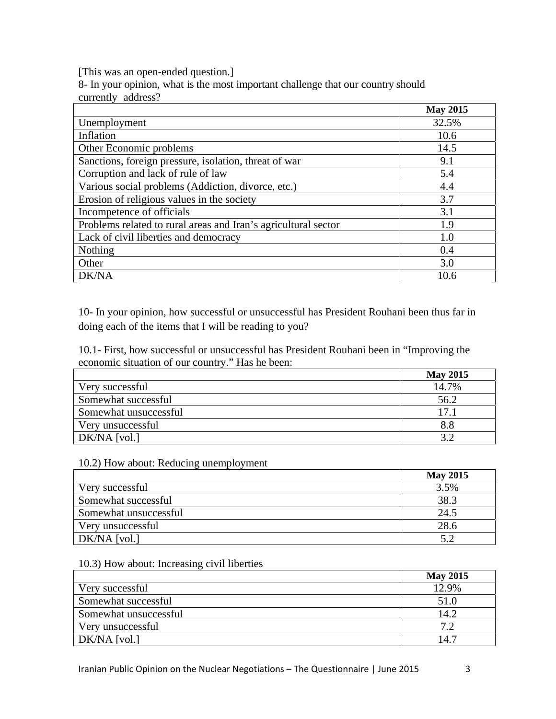[This was an open-ended question.]

8- In your opinion, what is the most important challenge that our country should currently address?

|                                                                | <b>May 2015</b> |
|----------------------------------------------------------------|-----------------|
| Unemployment                                                   | 32.5%           |
| Inflation                                                      | 10.6            |
| Other Economic problems                                        | 14.5            |
| Sanctions, foreign pressure, isolation, threat of war          | 9.1             |
| Corruption and lack of rule of law                             | 5.4             |
| Various social problems (Addiction, divorce, etc.)             | 4.4             |
| Erosion of religious values in the society                     | 3.7             |
| Incompetence of officials                                      | 3.1             |
| Problems related to rural areas and Iran's agricultural sector | 1.9             |
| Lack of civil liberties and democracy                          | 1.0             |
| <b>Nothing</b>                                                 | 0.4             |
| Other                                                          | 3.0             |
| DK/NA                                                          | 10.6            |

10- In your opinion, how successful or unsuccessful has President Rouhani been thus far in doing each of the items that I will be reading to you?

10.1- First, how successful or unsuccessful has President Rouhani been in "Improving the economic situation of our country." Has he been:

|                       | <b>May 2015</b> |
|-----------------------|-----------------|
| Very successful       | 14.7%           |
| Somewhat successful   | 56.2            |
| Somewhat unsuccessful | 17.1            |
| Very unsuccessful     | 8.8             |
| DK/NA [vol.]          |                 |

#### 10.2) How about: Reducing unemployment

|                       | <b>May 2015</b> |
|-----------------------|-----------------|
| Very successful       | 3.5%            |
| Somewhat successful   | 38.3            |
| Somewhat unsuccessful | 24.5            |
| Very unsuccessful     | 28.6            |
| DK/NA [vol.]          | 5.2             |

#### 10.3) How about: Increasing civil liberties

|                       | <b>May 2015</b> |
|-----------------------|-----------------|
| Very successful       | 12.9%           |
| Somewhat successful   | 51.0            |
| Somewhat unsuccessful | 14.2            |
| Very unsuccessful     | י ה             |
| DK/NA [vol.]          | 14.7            |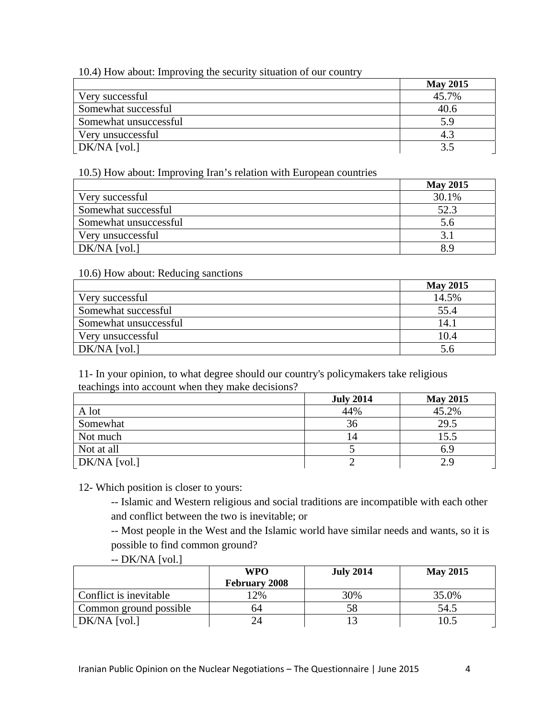# 10.4) How about: Improving the security situation of our country

|                       | <b>May 2015</b> |
|-----------------------|-----------------|
| Very successful       | 45.7%           |
| Somewhat successful   | 40.6            |
| Somewhat unsuccessful | 5.9             |
| Very unsuccessful     | 4.3             |
| DK/NA [vol.]          |                 |

# 10.5) How about: Improving Iran's relation with European countries

|                       | <b>May 2015</b> |
|-----------------------|-----------------|
| Very successful       | 30.1%           |
| Somewhat successful   | 52.3            |
| Somewhat unsuccessful | 5.6             |
| Very unsuccessful     |                 |
| $DK/NA$ [vol.]        | 8.9             |

# 10.6) How about: Reducing sanctions

|                       | <b>May 2015</b> |
|-----------------------|-----------------|
| Very successful       | 14.5%           |
| Somewhat successful   | 55.4            |
| Somewhat unsuccessful | 14.1            |
| Very unsuccessful     | 10.4            |
| DK/NA [vol.]          |                 |

11- In your opinion, to what degree should our country's policymakers take religious teachings into account when they make decisions?

|                | <b>July 2014</b> | <b>May 2015</b> |
|----------------|------------------|-----------------|
| A lot          | 44%              | 45.2%           |
| Somewhat       | 36               | 29.5            |
| Not much       | 14               | 15.5            |
| Not at all     |                  | 6.9             |
| $DK/NA$ [vol.] |                  |                 |

12- Which position is closer to yours:

-- Islamic and Western religious and social traditions are incompatible with each other and conflict between the two is inevitable; or

-- Most people in the West and the Islamic world have similar needs and wants, so it is possible to find common ground?

-- DK/NA [vol.]

|                        | WPO                  | <b>July 2014</b> | <b>May 2015</b> |
|------------------------|----------------------|------------------|-----------------|
|                        | <b>February 2008</b> |                  |                 |
| Conflict is inevitable | 2%                   | 30%              | 35.0%           |
| Common ground possible | 64                   | 58               | 54.5            |
| $DK/NA$ [vol.]         |                      |                  |                 |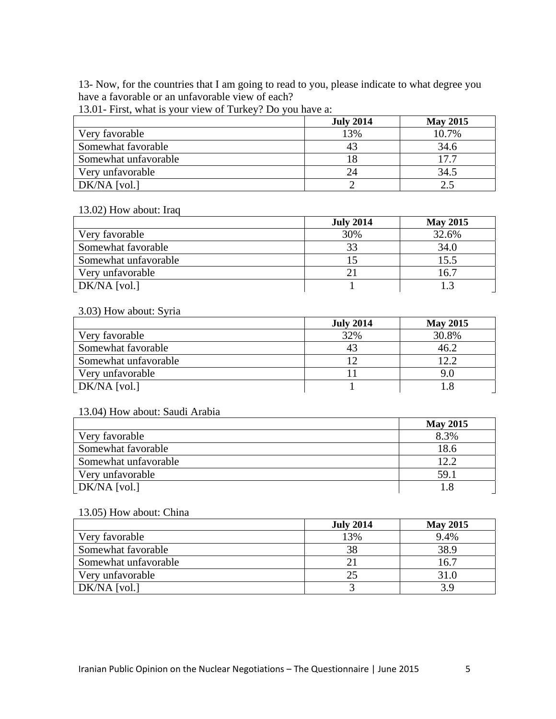13- Now, for the countries that I am going to read to you, please indicate to what degree you have a favorable or an unfavorable view of each?

13.01- First, what is your view of Turkey? Do you have a:

|                      | <b>July 2014</b> | <b>May 2015</b> |
|----------------------|------------------|-----------------|
| Very favorable       | 13%              | 10.7%           |
| Somewhat favorable   |                  | 34.6            |
| Somewhat unfavorable |                  | 17 7            |
| Very unfavorable     | 24               | 34.5            |
| $DK/NA$ [vol.]       |                  |                 |

### 13.02) How about: Iraq

|                      | <b>July 2014</b> | <b>May 2015</b> |
|----------------------|------------------|-----------------|
| Very favorable       | 30%              | 32.6%           |
| Somewhat favorable   | 33               | 34.0            |
| Somewhat unfavorable |                  | 15.5            |
| Very unfavorable     |                  | 16.7            |
| DK/NA [vol.]         |                  |                 |

# 3.03) How about: Syria

|                      | <b>July 2014</b> | <b>May 2015</b> |
|----------------------|------------------|-----------------|
| Very favorable       | 32%              | 30.8%           |
| Somewhat favorable   |                  | 46.2            |
| Somewhat unfavorable |                  | 12.2            |
| Very unfavorable     |                  |                 |
| DK/NA [vol.]         |                  |                 |

### 13.04) How about: Saudi Arabia

|                      | <b>May 2015</b> |
|----------------------|-----------------|
| Very favorable       | 8.3%            |
| Somewhat favorable   | 18.6            |
| Somewhat unfavorable | 12.2            |
| Very unfavorable     | 59.1            |
| DK/NA [vol.]         |                 |

# 13.05) How about: China

|                      | <b>July 2014</b> | <b>May 2015</b> |
|----------------------|------------------|-----------------|
| Very favorable       | 13%              | 9.4%            |
| Somewhat favorable   | 38               | 38.9            |
| Somewhat unfavorable |                  | 16.7            |
| Very unfavorable     | 25               | 31.0            |
| $\mid$ DK/NA [vol.]  |                  | 3.9             |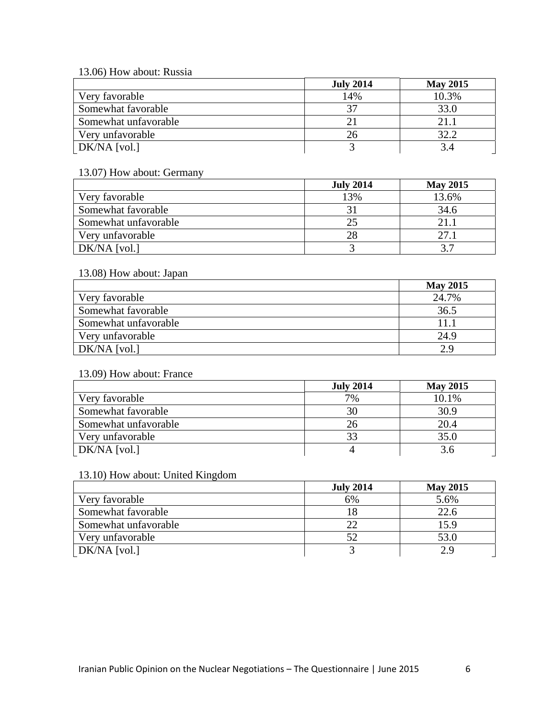13.06) How about: Russia

|                      | <b>July 2014</b> | <b>May 2015</b> |
|----------------------|------------------|-----------------|
| Very favorable       | 14%              | 10.3%           |
| Somewhat favorable   | 37               | 33.0            |
| Somewhat unfavorable |                  | 21.1            |
| Very unfavorable     | 26               | 32.2            |
| DK/NA [vol.]         |                  |                 |

# 13.07) How about: Germany

|                      | <b>July 2014</b> | <b>May 2015</b> |
|----------------------|------------------|-----------------|
| Very favorable       | 13%              | 13.6%           |
| Somewhat favorable   |                  | 34.6            |
| Somewhat unfavorable | 25               | 21.1            |
| Very unfavorable     | 28               | 27.1            |
| DK/NA [vol.]         |                  |                 |

# 13.08) How about: Japan

|                      | <b>May 2015</b> |
|----------------------|-----------------|
| Very favorable       | 24.7%           |
| Somewhat favorable   | 36.5            |
| Somewhat unfavorable | 11.1            |
| Very unfavorable     | 24.9            |
| $DK/NA$ [vol.]       | 2.9             |

### 13.09) How about: France

|                      | <b>July 2014</b> | <b>May 2015</b> |
|----------------------|------------------|-----------------|
| Very favorable       | 7%               | 10.1%           |
| Somewhat favorable   | 30               | 30.9            |
| Somewhat unfavorable | 26               | 20.4            |
| Very unfavorable     | 33               | 35.0            |
| DK/NA [vol.]         |                  |                 |

### 13.10) How about: United Kingdom

|                      | <b>July 2014</b> | <b>May 2015</b> |
|----------------------|------------------|-----------------|
| Very favorable       | 6%               | 5.6%            |
| Somewhat favorable   |                  | 22.6            |
| Somewhat unfavorable |                  | 15.9            |
| Very unfavorable     |                  | 53.0            |
| DK/NA [vol.]         |                  |                 |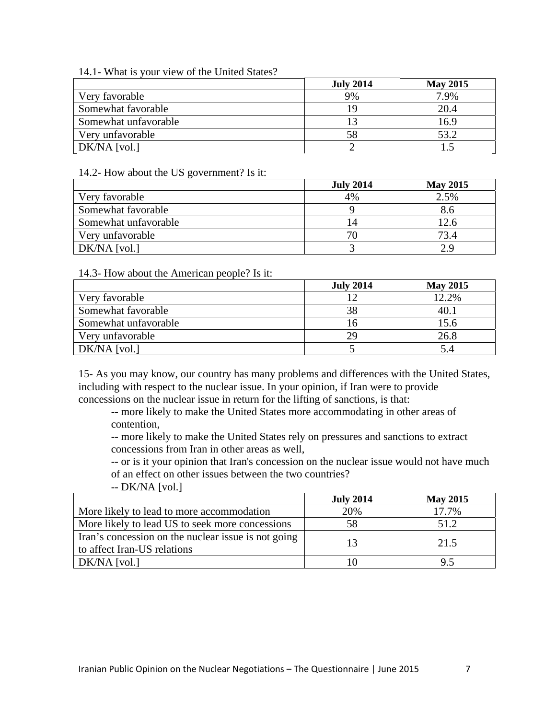### 14.1- What is your view of the United States?

|                      | <b>July 2014</b> | <b>May 2015</b> |
|----------------------|------------------|-----------------|
| Very favorable       | 9%               | 7.9%            |
| Somewhat favorable   | 19               | 20.4            |
| Somewhat unfavorable |                  | 16.9            |
| Very unfavorable     | 58               | 53.2            |
| DK/NA [vol.]         |                  |                 |

### 14.2- How about the US government? Is it:

|                      | <b>July 2014</b> | <b>May 2015</b> |
|----------------------|------------------|-----------------|
| Very favorable       | 4%               | 2.5%            |
| Somewhat favorable   |                  | 8.6             |
| Somewhat unfavorable | 14               | 12.6            |
| Very unfavorable     | 70.              | 73.4            |
| $DK/NA$ [vol.]       |                  |                 |

#### 14.3- How about the American people? Is it:

|                      | <b>July 2014</b> | <b>May 2015</b> |
|----------------------|------------------|-----------------|
| Very favorable       |                  | 12.2%           |
| Somewhat favorable   | 38               | 40.1            |
| Somewhat unfavorable |                  | 15.6            |
| Very unfavorable     | 29               | 26.8            |
| DK/NA [vol.]         |                  | 5.4             |

15- As you may know, our country has many problems and differences with the United States, including with respect to the nuclear issue. In your opinion, if Iran were to provide concessions on the nuclear issue in return for the lifting of sanctions, is that:

-- more likely to make the United States more accommodating in other areas of contention,

-- more likely to make the United States rely on pressures and sanctions to extract concessions from Iran in other areas as well,

-- or is it your opinion that Iran's concession on the nuclear issue would not have much of an effect on other issues between the two countries?

| $-$ DK/NA [vol.] |  |
|------------------|--|
|                  |  |

|                                                                                    | <b>July 2014</b> | <b>May 2015</b> |
|------------------------------------------------------------------------------------|------------------|-----------------|
| More likely to lead to more accommodation                                          | 20%              | 17.7%           |
| More likely to lead US to seek more concessions                                    | 58               | 51.2            |
| Iran's concession on the nuclear issue is not going<br>to affect Iran-US relations | 13               | 21.5            |
| $DK/NA$ [vol.]                                                                     |                  | 9.5             |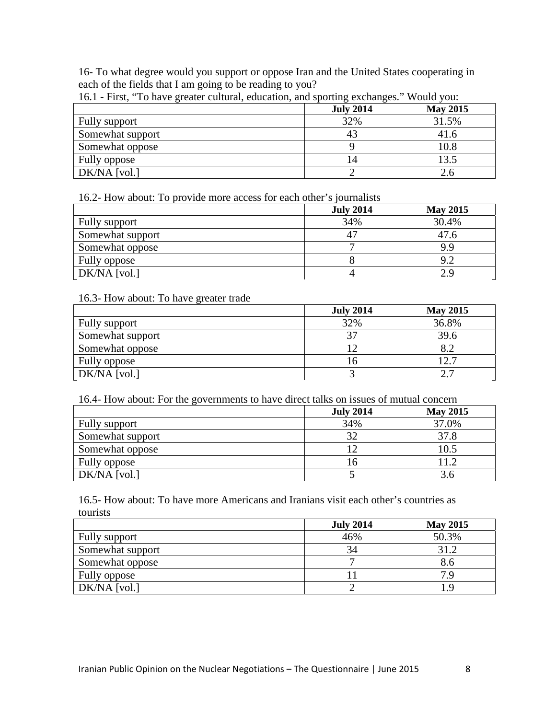16- To what degree would you support or oppose Iran and the United States cooperating in each of the fields that I am going to be reading to you?

|                  | <b>July 2014</b> | <b>May 2015</b> |
|------------------|------------------|-----------------|
| Fully support    | 32%              | 31.5%           |
| Somewhat support | 43               | 41.6            |
| Somewhat oppose  |                  | 10.8            |
| Fully oppose     | 14               | 13.5            |
| DK/NA [vol.]     |                  | 2.6             |

16.1 - First, "To have greater cultural, education, and sporting exchanges." Would you:

16.2- How about: To provide more access for each other's journalists

|                  | <b>July 2014</b> | <b>May 2015</b> |
|------------------|------------------|-----------------|
| Fully support    | 34%              | 30.4%           |
| Somewhat support |                  | 47.6            |
| Somewhat oppose  |                  | 9.9             |
| Fully oppose     |                  | 9.2             |
| DK/NA [vol.]     |                  |                 |

#### 16.3- How about: To have greater trade

|                  | <b>July 2014</b> | <b>May 2015</b> |
|------------------|------------------|-----------------|
| Fully support    | 32%              | 36.8%           |
| Somewhat support | 37               | 39.6            |
| Somewhat oppose  |                  |                 |
| Fully oppose     | l h              | 12.7            |
| $DK/NA$ [vol.]   |                  |                 |

16.4- How about: For the governments to have direct talks on issues of mutual concern

|                  | <b>July 2014</b> | <b>May 2015</b> |
|------------------|------------------|-----------------|
| Fully support    | 34%              | 37.0%           |
| Somewhat support | 32               | 37.8            |
| Somewhat oppose  |                  | 10.5            |
| Fully oppose     | I h              | 11.2            |
| DK/NA [vol.]     |                  | 3.6             |

16.5- How about: To have more Americans and Iranians visit each other's countries as tourists

|                  | <b>July 2014</b> | <b>May 2015</b> |
|------------------|------------------|-----------------|
| Fully support    | 46%              | 50.3%           |
| Somewhat support | 34               | 31.2            |
| Somewhat oppose  |                  | 8.6             |
| Fully oppose     |                  | 79              |
| $DK/NA$ [vol.]   |                  | - Q             |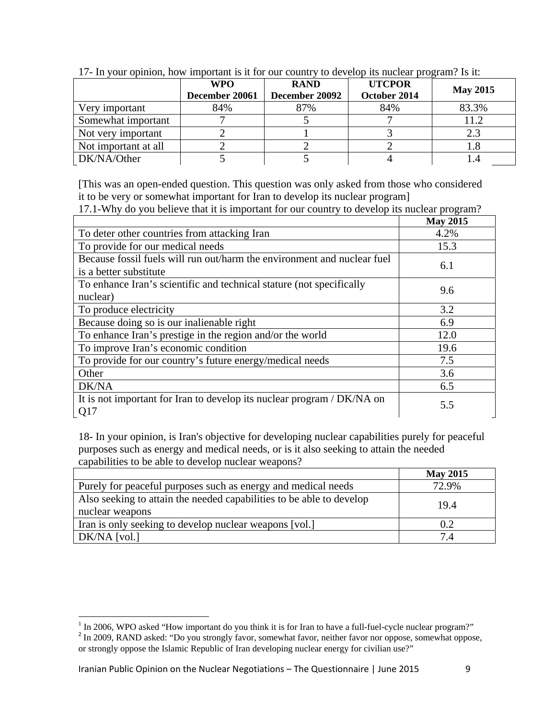| $\mathbf{r}$ , and $\mathbf{r}$ of $\mathbf{r}$ of $\mathbf{r}$ and $\mathbf{r}$ and $\mathbf{r}$ are $\mathbf{r}$ of $\mathbf{r}$ . The set of $\mathbf{r}$ |                              |                               |                               |                 |
|--------------------------------------------------------------------------------------------------------------------------------------------------------------|------------------------------|-------------------------------|-------------------------------|-----------------|
|                                                                                                                                                              | <b>WPO</b><br>December 20061 | <b>RAND</b><br>December 20092 | <b>UTCPOR</b><br>October 2014 | <b>May 2015</b> |
| Very important                                                                                                                                               | 84%                          | 87%                           | 84%                           | 83.3%           |
| Somewhat important                                                                                                                                           |                              |                               |                               | 11.2            |
| Not very important                                                                                                                                           |                              |                               |                               | 2.3             |
| Not important at all                                                                                                                                         |                              |                               |                               |                 |
| DK/NA/Other                                                                                                                                                  |                              |                               |                               |                 |

17- In your opinion, how important is it for our country to develop its nuclear program? Is it:

[This was an open-ended question. This question was only asked from those who considered it to be very or somewhat important for Iran to develop its nuclear program]

17.1-Why do you believe that it is important for our country to develop its nuclear program?

|                                                                                                   | <b>May 2015</b> |
|---------------------------------------------------------------------------------------------------|-----------------|
| To deter other countries from attacking Iran                                                      | 4.2%            |
| To provide for our medical needs                                                                  | 15.3            |
| Because fossil fuels will run out/harm the environment and nuclear fuel<br>is a better substitute | 6.1             |
| To enhance Iran's scientific and technical stature (not specifically<br>nuclear)                  | 9.6             |
| To produce electricity                                                                            | 3.2             |
| Because doing so is our inalienable right                                                         | 6.9             |
| To enhance Iran's prestige in the region and/or the world                                         | 12.0            |
| To improve Iran's economic condition                                                              | 19.6            |
| To provide for our country's future energy/medical needs                                          | 7.5             |
| Other                                                                                             | 3.6             |
| DK/NA                                                                                             | 6.5             |
| It is not important for Iran to develop its nuclear program / DK/NA on<br>Q17                     | 5.5             |

18- In your opinion, is Iran's objective for developing nuclear capabilities purely for peaceful purposes such as energy and medical needs, or is it also seeking to attain the needed capabilities to be able to develop nuclear weapons?

|                                                                                         | <b>May 2015</b> |
|-----------------------------------------------------------------------------------------|-----------------|
| Purely for peaceful purposes such as energy and medical needs                           | 72.9%           |
| Also seeking to attain the needed capabilities to be able to develop<br>nuclear weapons | 19.4            |
| Iran is only seeking to develop nuclear weapons [vol.]                                  | 0.2             |
| DK/NA [vol.]                                                                            | 7.4             |

<sup>&</sup>lt;sup>1</sup> In 2006, WPO asked "How important do you think it is for Iran to have a full-fuel-cycle nuclear program?"

<sup>&</sup>lt;sup>2</sup> In 2000, NAND asked: "Do you strongly favor, somewhat favor, neither favor nor oppose, somewhat oppose, or strongly oppose the Islamic Republic of Iran developing nuclear energy for civilian use?"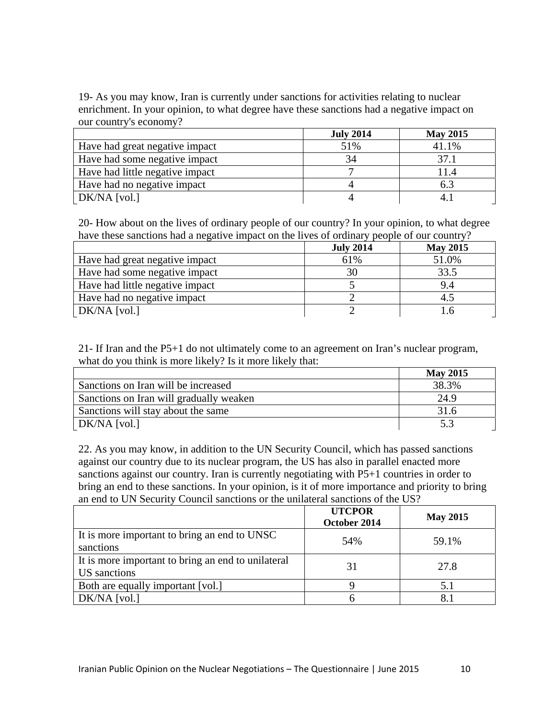19- As you may know, Iran is currently under sanctions for activities relating to nuclear enrichment. In your opinion, to what degree have these sanctions had a negative impact on our country's economy?

|                                 | <b>July 2014</b> | <b>May 2015</b> |
|---------------------------------|------------------|-----------------|
| Have had great negative impact  | 51%              | 41.1%           |
| Have had some negative impact   |                  | 37.1            |
| Have had little negative impact |                  | 11.4            |
| Have had no negative impact     |                  | 6.3             |
| DK/NA [vol.]                    |                  |                 |

20- How about on the lives of ordinary people of our country? In your opinion, to what degree have these sanctions had a negative impact on the lives of ordinary people of our country?

|                                 | <b>July 2014</b> | <b>May 2015</b> |
|---------------------------------|------------------|-----------------|
| Have had great negative impact  | 61%              | 51.0%           |
| Have had some negative impact   | 30               | 33.5            |
| Have had little negative impact |                  | 9.4             |
| Have had no negative impact     |                  | 4.5             |
| DK/NA [vol.]                    |                  |                 |

21- If Iran and the P5+1 do not ultimately come to an agreement on Iran's nuclear program, what do you think is more likely? Is it more likely that:

|                                         | <b>May 2015</b> |
|-----------------------------------------|-----------------|
| Sanctions on Iran will be increased     | 38.3%           |
| Sanctions on Iran will gradually weaken | 24.9            |
| Sanctions will stay about the same      | 31.6            |
| DK/NA [vol.]                            | 53              |

22. As you may know, in addition to the UN Security Council, which has passed sanctions against our country due to its nuclear program, the US has also in parallel enacted more sanctions against our country. Iran is currently negotiating with P5+1 countries in order to bring an end to these sanctions. In your opinion, is it of more importance and priority to bring an end to UN Security Council sanctions or the unilateral sanctions of the US?

|                                                                           | <b>UTCPOR</b><br>October 2014 | <b>May 2015</b> |
|---------------------------------------------------------------------------|-------------------------------|-----------------|
| It is more important to bring an end to UNSC<br>sanctions                 | 54%                           | 59.1%           |
| It is more important to bring an end to unilateral<br><b>US</b> sanctions | 31                            | 27.8            |
| Both are equally important [vol.]                                         |                               | 5.1             |
| $DK/NA$ [vol.]                                                            |                               | 8.1             |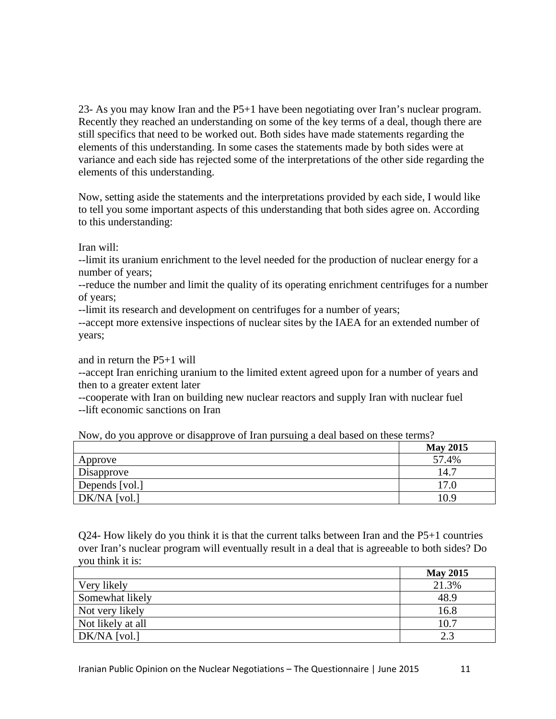23- As you may know Iran and the P5+1 have been negotiating over Iran's nuclear program. Recently they reached an understanding on some of the key terms of a deal, though there are still specifics that need to be worked out. Both sides have made statements regarding the elements of this understanding. In some cases the statements made by both sides were at variance and each side has rejected some of the interpretations of the other side regarding the elements of this understanding.

Now, setting aside the statements and the interpretations provided by each side, I would like to tell you some important aspects of this understanding that both sides agree on. According to this understanding:

Iran will:

--limit its uranium enrichment to the level needed for the production of nuclear energy for a number of years;

--reduce the number and limit the quality of its operating enrichment centrifuges for a number of years;

--limit its research and development on centrifuges for a number of years;

--accept more extensive inspections of nuclear sites by the IAEA for an extended number of years;

and in return the P5+1 will

--accept Iran enriching uranium to the limited extent agreed upon for a number of years and then to a greater extent later

--cooperate with Iran on building new nuclear reactors and supply Iran with nuclear fuel --lift economic sanctions on Iran

| --<br>.<br>. .<br>$\tilde{\phantom{a}}$ |                 |
|-----------------------------------------|-----------------|
|                                         | <b>May 2015</b> |
| Approve                                 | 57.4%           |
| Disapprove                              | 14.7            |
| Depends [vol.]                          | 17.0            |
| $DK/NA$ [vol.]                          | 10.9            |

Now, do you approve or disapprove of Iran pursuing a deal based on these terms?

Q24- How likely do you think it is that the current talks between Iran and the P5+1 countries over Iran's nuclear program will eventually result in a deal that is agreeable to both sides? Do you think it is:

|                   | <b>May 2015</b> |
|-------------------|-----------------|
| Very likely       | 21.3%           |
| Somewhat likely   | 48.9            |
| Not very likely   | 16.8            |
| Not likely at all | 10.7            |
| DK/NA [vol.]      | 2.3             |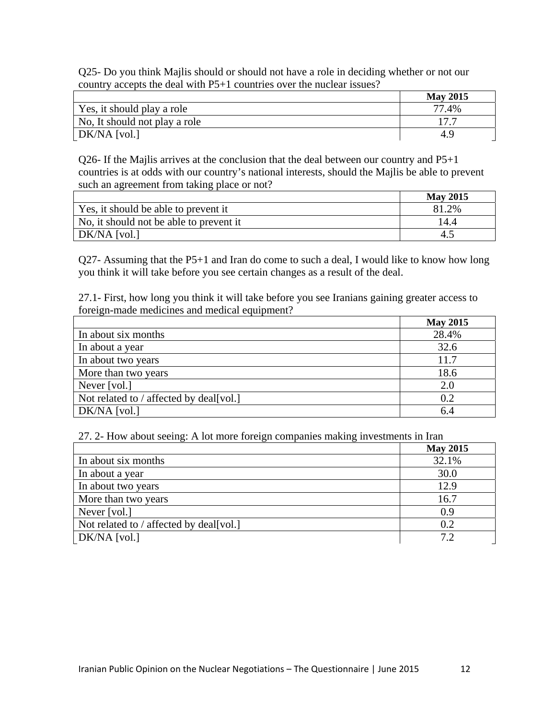Q25- Do you think Majlis should or should not have a role in deciding whether or not our country accepts the deal with P5+1 countries over the nuclear issues?

|                               | <b>May 2015</b> |
|-------------------------------|-----------------|
| Yes, it should play a role    | 77.4%           |
| No, It should not play a role | 177             |
| DK/NA [vol.]                  | 4.9             |

Q26- If the Majlis arrives at the conclusion that the deal between our country and P5+1 countries is at odds with our country's national interests, should the Majlis be able to prevent such an agreement from taking place or not?

|                                         | <b>May 2015</b> |
|-----------------------------------------|-----------------|
| Yes, it should be able to prevent it    | 81.2%           |
| No, it should not be able to prevent it | 14.4            |
| DK/NA [vol.]                            |                 |

Q27- Assuming that the P5+1 and Iran do come to such a deal, I would like to know how long you think it will take before you see certain changes as a result of the deal.

27.1- First, how long you think it will take before you see Iranians gaining greater access to foreign-made medicines and medical equipment?

|                                         | <b>May 2015</b> |
|-----------------------------------------|-----------------|
| In about six months                     | 28.4%           |
| In about a year                         | 32.6            |
| In about two years                      | 11.7            |
| More than two years                     | 18.6            |
| Never [vol.]                            | 2.0             |
| Not related to / affected by deal[vol.] | 0.2             |
| $DK/NA$ [vol.]                          | 6.4             |

27. 2- How about seeing: A lot more foreign companies making investments in Iran

|                                         | <b>May 2015</b> |
|-----------------------------------------|-----------------|
| In about six months                     | 32.1%           |
| In about a year                         | 30.0            |
| In about two years                      | 12.9            |
| More than two years                     | 16.7            |
| Never [vol.]                            | 0.9             |
| Not related to / affected by deal[vol.] | 0.2             |
| $DK/NA$ [vol.]                          | 7.2             |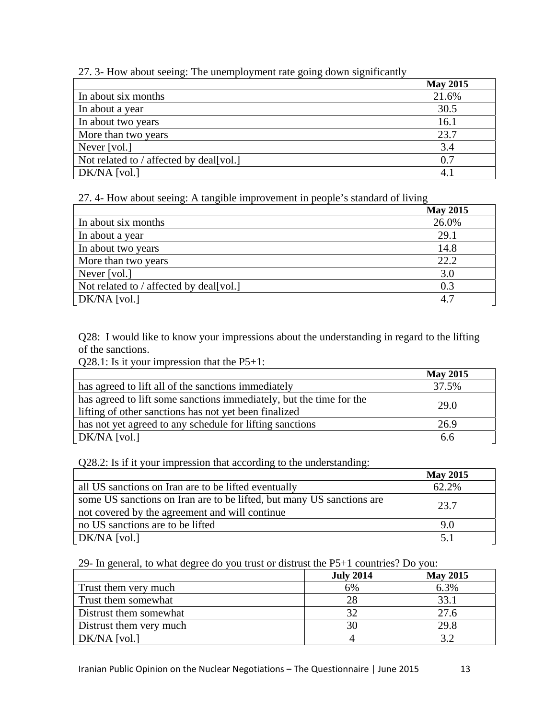| $P^{\text{sc}}$                         |                 |
|-----------------------------------------|-----------------|
|                                         | <b>May 2015</b> |
| In about six months                     | 21.6%           |
| In about a year                         | 30.5            |
| In about two years                      | 16.1            |
| More than two years                     | 23.7            |
| Never [vol.]                            | 3.4             |
| Not related to / affected by deal[vol.] | 0.7             |
| $DK/NA$ [vol.]                          | 4.1             |

# 27. 3- How about seeing: The unemployment rate going down significantly

27. 4- How about seeing: A tangible improvement in people's standard of living

|                                         | <b>May 2015</b> |
|-----------------------------------------|-----------------|
| In about six months                     | 26.0%           |
| In about a year                         | 29.1            |
| In about two years                      | 14.8            |
| More than two years                     | 22.2            |
| Never [vol.]                            | 3.0             |
| Not related to / affected by deal[vol.] | 0.3             |
| DK/NA [vol.]                            | 4.7             |

Q28: I would like to know your impressions about the understanding in regard to the lifting of the sanctions.

Q28.1: Is it your impression that the P5+1:

|                                                                     | <b>May 2015</b> |
|---------------------------------------------------------------------|-----------------|
| has agreed to lift all of the sanctions immediately                 | 37.5%           |
| has agreed to lift some sanctions immediately, but the time for the | 29.0            |
| lifting of other sanctions has not yet been finalized               |                 |
| has not yet agreed to any schedule for lifting sanctions            | 26.9            |
| DK/NA [vol.]                                                        | 6.6             |

Q28.2: Is if it your impression that according to the understanding:

|                                                                       | <b>May 2015</b> |
|-----------------------------------------------------------------------|-----------------|
| all US sanctions on Iran are to be lifted eventually                  | 62.2%           |
| some US sanctions on Iran are to be lifted, but many US sanctions are | 23.7            |
| not covered by the agreement and will continue                        |                 |
| no US sanctions are to be lifted                                      | 9.0             |
| $DK/NA$ [vol.]                                                        | 51              |

29- In general, to what degree do you trust or distrust the P5+1 countries? Do you:

|                         | <b>July 2014</b> | <b>May 2015</b> |
|-------------------------|------------------|-----------------|
| Trust them very much    | 6%               | 6.3%            |
| Trust them somewhat     | 28               | 33.1            |
| Distrust them somewhat  | 32               | 27.6            |
| Distrust them very much | 30               | 29.8            |
| DK/NA [vol.]            |                  |                 |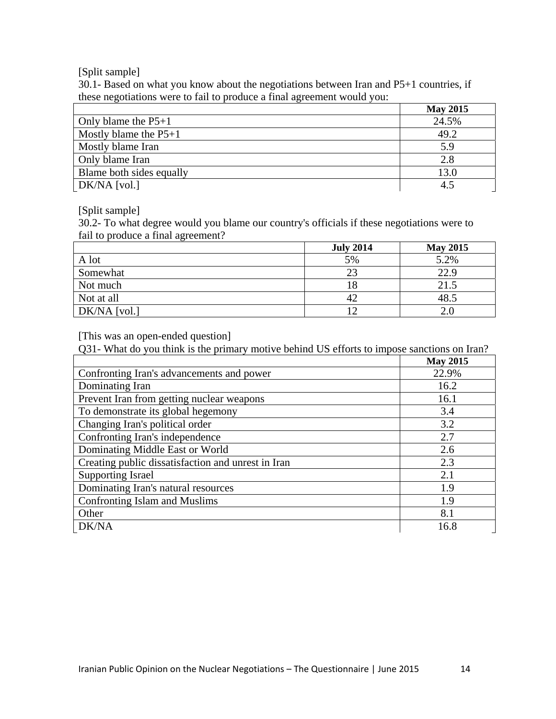[Split sample]

30.1- Based on what you know about the negotiations between Iran and P5+1 countries, if these negotiations were to fail to produce a final agreement would you:

|                          | <b>May 2015</b> |
|--------------------------|-----------------|
| Only blame the $P5+1$    | 24.5%           |
| Mostly blame the $P5+1$  | 49.2            |
| Mostly blame Iran        | 5.9             |
| Only blame Iran          | 2.8             |
| Blame both sides equally | 13.0            |
| DK/NA [vol.]             | 4.5             |

[Split sample]

30.2- To what degree would you blame our country's officials if these negotiations were to fail to produce a final agreement?

|                | <b>July 2014</b> | <b>May 2015</b> |
|----------------|------------------|-----------------|
| A lot          | 5%               | 5.2%            |
| Somewhat       | 23               | 22.9            |
| Not much       |                  | 21.5            |
| Not at all     |                  | 48.5            |
| $DK/NA$ [vol.] |                  |                 |

[This was an open-ended question]

Q31- What do you think is the primary motive behind US efforts to impose sanctions on Iran?

|                                                    | <b>May 2015</b> |
|----------------------------------------------------|-----------------|
| Confronting Iran's advancements and power          | 22.9%           |
| Dominating Iran                                    | 16.2            |
| Prevent Iran from getting nuclear weapons          | 16.1            |
| To demonstrate its global hegemony                 | 3.4             |
| Changing Iran's political order                    | 3.2             |
| Confronting Iran's independence                    | 2.7             |
| Dominating Middle East or World                    | 2.6             |
| Creating public dissatisfaction and unrest in Iran | 2.3             |
| <b>Supporting Israel</b>                           | 2.1             |
| Dominating Iran's natural resources                | 1.9             |
| Confronting Islam and Muslims                      | 1.9             |
| Other                                              | 8.1             |
| DK/NA                                              | 16.8            |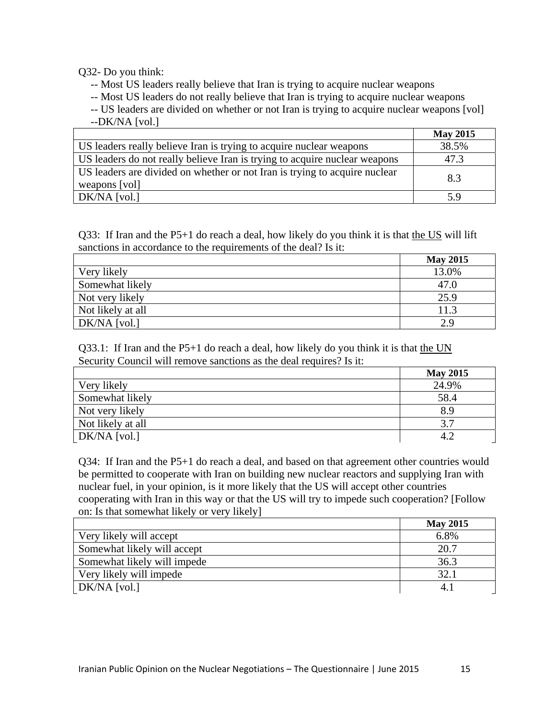Q32- Do you think:

-- Most US leaders really believe that Iran is trying to acquire nuclear weapons

-- Most US leaders do not really believe that Iran is trying to acquire nuclear weapons

-- US leaders are divided on whether or not Iran is trying to acquire nuclear weapons [vol] --DK/NA [vol.]

|                                                                                             | <b>May 2015</b> |
|---------------------------------------------------------------------------------------------|-----------------|
| US leaders really believe Iran is trying to acquire nuclear weapons                         | 38.5%           |
| US leaders do not really believe Iran is trying to acquire nuclear weapons                  | 47.3            |
| US leaders are divided on whether or not Iran is trying to acquire nuclear<br>weapons [vol] | 8.3             |
| DK/NA [vol.]                                                                                | 5.9             |

Q33: If Iran and the P5+1 do reach a deal, how likely do you think it is that the US will lift sanctions in accordance to the requirements of the deal? Is it:

|                   | <b>May 2015</b> |
|-------------------|-----------------|
| Very likely       | 13.0%           |
| Somewhat likely   | 47.0            |
| Not very likely   | 25.9            |
| Not likely at all | 11.3            |
| $DK/NA$ [vol.]    | 2.9             |

Q33.1: If Iran and the  $P5+1$  do reach a deal, how likely do you think it is that the UN Security Council will remove sanctions as the deal requires? Is it:

|                   | <b>May 2015</b> |
|-------------------|-----------------|
| Very likely       | 24.9%           |
| Somewhat likely   | 58.4            |
| Not very likely   | 8.9             |
| Not likely at all | 3.7             |
| DK/NA [vol.]      | 4.2             |

Q34: If Iran and the P5+1 do reach a deal, and based on that agreement other countries would be permitted to cooperate with Iran on building new nuclear reactors and supplying Iran with nuclear fuel, in your opinion, is it more likely that the US will accept other countries cooperating with Iran in this way or that the US will try to impede such cooperation? [Follow on: Is that somewhat likely or very likely]

|                             | <b>May 2015</b> |
|-----------------------------|-----------------|
| Very likely will accept     | 6.8%            |
| Somewhat likely will accept | 20.7            |
| Somewhat likely will impede | 36.3            |
| Very likely will impede     | 32.1            |
| $DK/NA$ [vol.]              | 4.1             |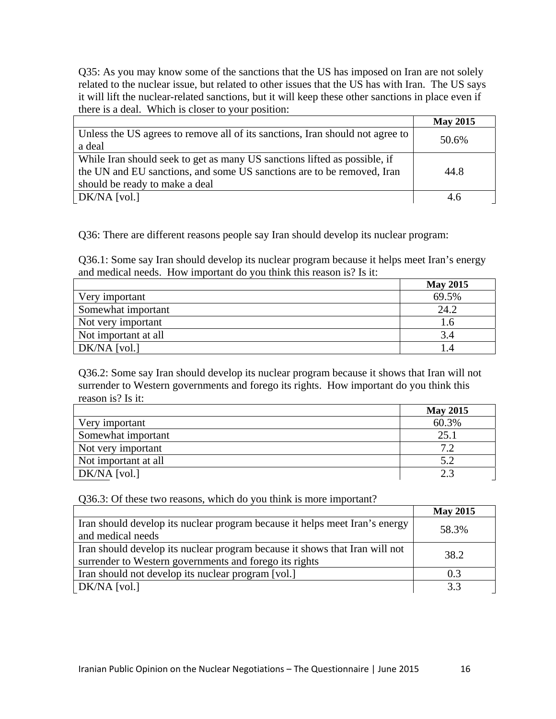Q35: As you may know some of the sanctions that the US has imposed on Iran are not solely related to the nuclear issue, but related to other issues that the US has with Iran. The US says it will lift the nuclear-related sanctions, but it will keep these other sanctions in place even if there is a deal. Which is closer to your position:

|                                                                               | <b>May 2015</b> |
|-------------------------------------------------------------------------------|-----------------|
| Unless the US agrees to remove all of its sanctions, Iran should not agree to | 50.6%           |
| a deal                                                                        |                 |
| While Iran should seek to get as many US sanctions lifted as possible, if     |                 |
| the UN and EU sanctions, and some US sanctions are to be removed, Iran        | 44.8            |
| should be ready to make a deal                                                |                 |
| DK/NA [vol.]                                                                  | 4.6             |

Q36: There are different reasons people say Iran should develop its nuclear program:

Q36.1: Some say Iran should develop its nuclear program because it helps meet Iran's energy and medical needs. How important do you think this reason is? Is it:

|                      | <b>May 2015</b> |
|----------------------|-----------------|
| Very important       | 69.5%           |
| Somewhat important   | 24.2            |
| Not very important   | 1.6             |
| Not important at all | 3.4             |
| DK/NA [vol.]         |                 |

Q36.2: Some say Iran should develop its nuclear program because it shows that Iran will not surrender to Western governments and forego its rights. How important do you think this reason is? Is it:

|                      | <b>May 2015</b> |
|----------------------|-----------------|
| Very important       | 60.3%           |
| Somewhat important   | 25.1            |
| Not very important   | 72              |
| Not important at all | 5.2             |
| DK/NA [vol.]         | 2.3             |

Q36.3: Of these two reasons, which do you think is more important?

|                                                                             | <b>May 2015</b> |
|-----------------------------------------------------------------------------|-----------------|
| Iran should develop its nuclear program because it helps meet Iran's energy | 58.3%           |
| and medical needs                                                           |                 |
| Iran should develop its nuclear program because it shows that Iran will not | 38.2            |
| surrender to Western governments and forego its rights                      |                 |
| Iran should not develop its nuclear program [vol.]                          | 0.3             |
| DK/NA [vol.]                                                                | 3.3             |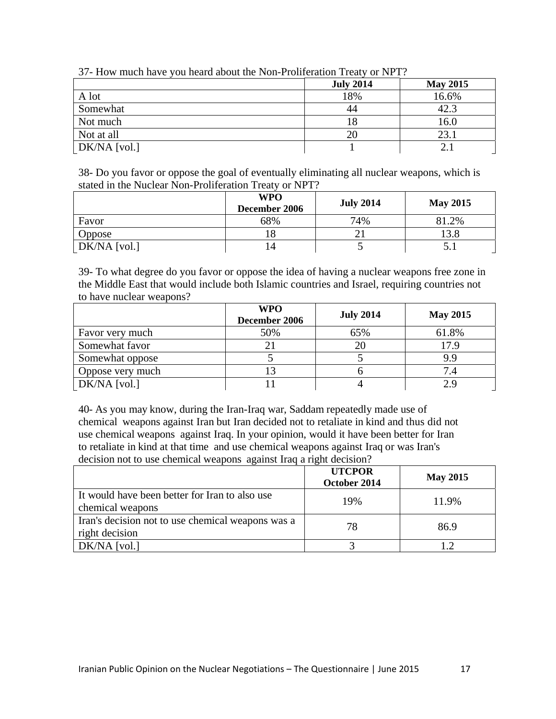| $\sigma$ and $\sigma$ much have you heard about the FOII From early of FOI FOI $\sigma$ |                  |                 |
|-----------------------------------------------------------------------------------------|------------------|-----------------|
|                                                                                         | <b>July 2014</b> | <b>May 2015</b> |
| A lot                                                                                   | 18%              | 16.6%           |
| Somewhat                                                                                | 44               | 42.3            |
| Not much                                                                                |                  | 16.0            |
| Not at all                                                                              | 20               | 23.1            |
| $\lfloor$ DK/NA $\lfloor$ vol. $\rfloor$                                                |                  |                 |

|  | 37- How much have you heard about the Non-Proliferation Treaty or NPT? |
|--|------------------------------------------------------------------------|
|  |                                                                        |

38- Do you favor or oppose the goal of eventually eliminating all nuclear weapons, which is stated in the Nuclear Non-Proliferation Treaty or NPT?

|                | <b>WPO</b><br>December 2006 | <b>July 2014</b> | <b>May 2015</b> |
|----------------|-----------------------------|------------------|-----------------|
| Favor          | 68%                         | 74%              | 81.2%           |
| Oppose         | 10                          |                  | 13.8            |
| $DK/NA$ [vol.] | 14                          |                  | ◡.              |

39- To what degree do you favor or oppose the idea of having a nuclear weapons free zone in the Middle East that would include both Islamic countries and Israel, requiring countries not to have nuclear weapons?

|                  | <b>WPO</b><br>December 2006 | <b>July 2014</b> | <b>May 2015</b> |
|------------------|-----------------------------|------------------|-----------------|
| Favor very much  | 50%                         | 65%              | 61.8%           |
| Somewhat favor   | 21                          | 20               | 17.9            |
| Somewhat oppose  |                             |                  | 9.9             |
| Oppose very much |                             |                  | 7.4             |
| DK/NA [vol.]     |                             |                  | 2.9             |

40- As you may know, during the Iran-Iraq war, Saddam repeatedly made use of chemical weapons against Iran but Iran decided not to retaliate in kind and thus did not use chemical weapons against Iraq. In your opinion, would it have been better for Iran to retaliate in kind at that time and use chemical weapons against Iraq or was Iran's decision not to use chemical weapons against Iraq a right decision?

|                                                                     | <b>UTCPOR</b><br>October 2014 | <b>May 2015</b> |
|---------------------------------------------------------------------|-------------------------------|-----------------|
| It would have been better for Iran to also use<br>chemical weapons  | 19%                           | 11.9%           |
| Iran's decision not to use chemical weapons was a<br>right decision | 78                            | 86.9            |
| $DK/NA$ [vol.]                                                      |                               | 1.2.            |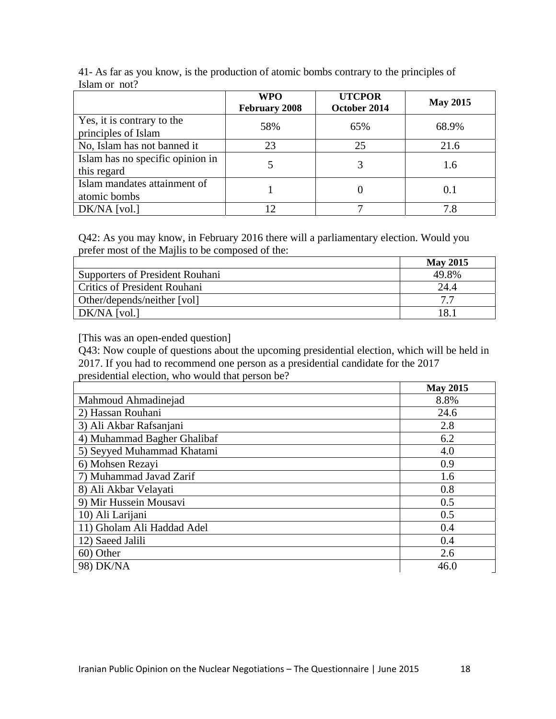|                                                   | <b>WPO</b><br><b>February 2008</b> | <b>UTCPOR</b><br>October 2014 | <b>May 2015</b> |
|---------------------------------------------------|------------------------------------|-------------------------------|-----------------|
| Yes, it is contrary to the<br>principles of Islam | 58%                                | 65%                           | 68.9%           |
| No, Islam has not banned it                       | 23                                 | 25                            | 21.6            |
| Islam has no specific opinion in<br>this regard   |                                    |                               | 1.6             |
| Islam mandates attainment of<br>atomic bombs      |                                    |                               | 0.1             |
| $DK/NA$ [vol.]                                    | 12                                 |                               | 7.8             |

41- As far as you know, is the production of atomic bombs contrary to the principles of Islam or not?

Q42: As you may know, in February 2016 there will a parliamentary election. Would you prefer most of the Majlis to be composed of the:

|                                     | <b>May 2015</b> |
|-------------------------------------|-----------------|
| Supporters of President Rouhani     | 49.8%           |
| <b>Critics of President Rouhani</b> | 24.4            |
| Other/depends/neither [vol]         | 77              |
| DK/NA [vol.]                        | 18.1            |

[This was an open-ended question]

Q43: Now couple of questions about the upcoming presidential election, which will be held in 2017. If you had to recommend one person as a presidential candidate for the 2017 presidential election, who would that person be?

|                             | <b>May 2015</b> |
|-----------------------------|-----------------|
| Mahmoud Ahmadinejad         | 8.8%            |
| 2) Hassan Rouhani           | 24.6            |
| 3) Ali Akbar Rafsanjani     | 2.8             |
| 4) Muhammad Bagher Ghalibaf | 6.2             |
| 5) Seyyed Muhammad Khatami  | 4.0             |
| 6) Mohsen Rezayi            | 0.9             |
| 7) Muhammad Javad Zarif     | 1.6             |
| 8) Ali Akbar Velayati       | 0.8             |
| 9) Mir Hussein Mousavi      | 0.5             |
| 10) Ali Larijani            | 0.5             |
| 11) Gholam Ali Haddad Adel  | 0.4             |
| 12) Saeed Jalili            | 0.4             |
| 60) Other                   | 2.6             |
| 98) DK/NA                   | 46.0            |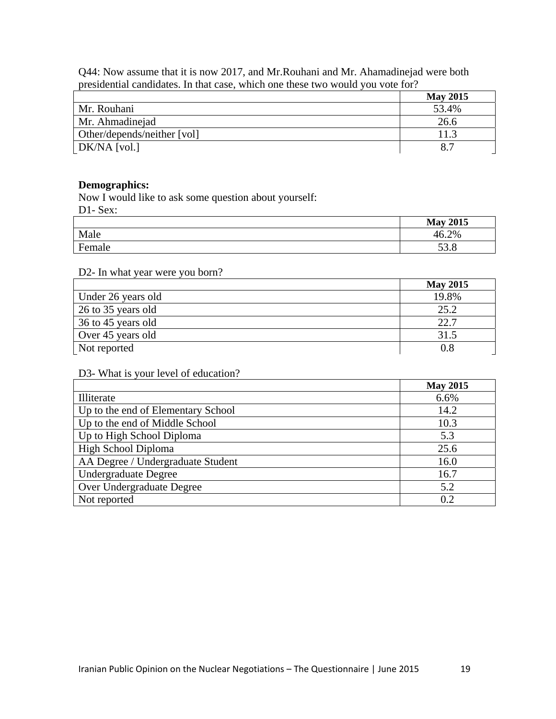Q44: Now assume that it is now 2017, and Mr.Rouhani and Mr. Ahamadinejad were both presidential candidates. In that case, which one these two would you vote for?

|                             | <b>May 2015</b> |
|-----------------------------|-----------------|
| Mr. Rouhani                 | 53.4%           |
| Mr. Ahmadinejad             | 26.6            |
| Other/depends/neither [vol] | 11.3            |
| DK/NA [vol.]                | 8.7             |

#### **Demographics:**

Now I would like to ask some question about yourself: D1- Sex:

|        | <b>May 2015</b> |
|--------|-----------------|
| Male   | 46.2%           |
| Female | ടറ റ<br>JJ.O    |

### D2- In what year were you born?

|                    | <b>May 2015</b> |
|--------------------|-----------------|
| Under 26 years old | 19.8%           |
| 26 to 35 years old | 25.2            |
| 36 to 45 years old | 22.7            |
| Over 45 years old  | 31.5            |
| Not reported       | $0.\delta$      |

### D3- What is your level of education?

|                                    | <b>May 2015</b> |
|------------------------------------|-----------------|
| Illiterate                         | 6.6%            |
| Up to the end of Elementary School | 14.2            |
| Up to the end of Middle School     | 10.3            |
| Up to High School Diploma          | 5.3             |
| High School Diploma                | 25.6            |
| AA Degree / Undergraduate Student  | 16.0            |
| Undergraduate Degree               | 16.7            |
| Over Undergraduate Degree          | 5.2             |
| Not reported                       | 0.2             |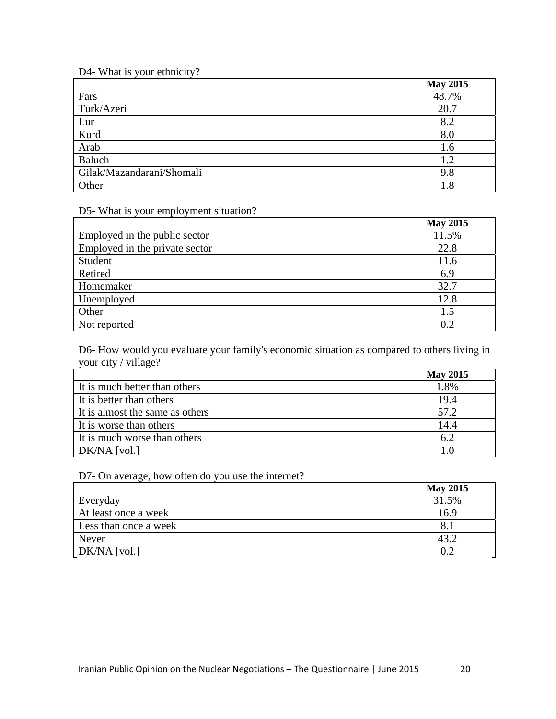# D4- What is your ethnicity?

|                           | <b>May 2015</b> |
|---------------------------|-----------------|
| Fars                      | 48.7%           |
| Turk/Azeri                | 20.7            |
| Lur                       | 8.2             |
| Kurd                      | 8.0             |
| Arab                      | 1.6             |
| Baluch                    | 1.2             |
| Gilak/Mazandarani/Shomali | 9.8             |
| Other                     | 1.8             |

# D5- What is your employment situation?

|                                | <b>May 2015</b> |
|--------------------------------|-----------------|
| Employed in the public sector  | 11.5%           |
| Employed in the private sector | 22.8            |
| Student                        | 11.6            |
| Retired                        | 6.9             |
| Homemaker                      | 32.7            |
| Unemployed                     | 12.8            |
| Other                          | 1.5             |
| Not reported                   | 0.2             |

D6- How would you evaluate your family's economic situation as compared to others living in your city / village?

|                                 | <b>May 2015</b> |
|---------------------------------|-----------------|
| It is much better than others   | 1.8%            |
| It is better than others        | 19.4            |
| It is almost the same as others | 57.2            |
| It is worse than others         | 14.4            |
| It is much worse than others    | 6.2             |
| DK/NA [vol.]                    | 10              |

D7- On average, how often do you use the internet?

|                       | <b>May 2015</b> |
|-----------------------|-----------------|
| Everyday              | 31.5%           |
| At least once a week  | 16.9            |
| Less than once a week | 8.              |
| Never                 | 43.2            |
| DK/NA [vol.]          | 0.2             |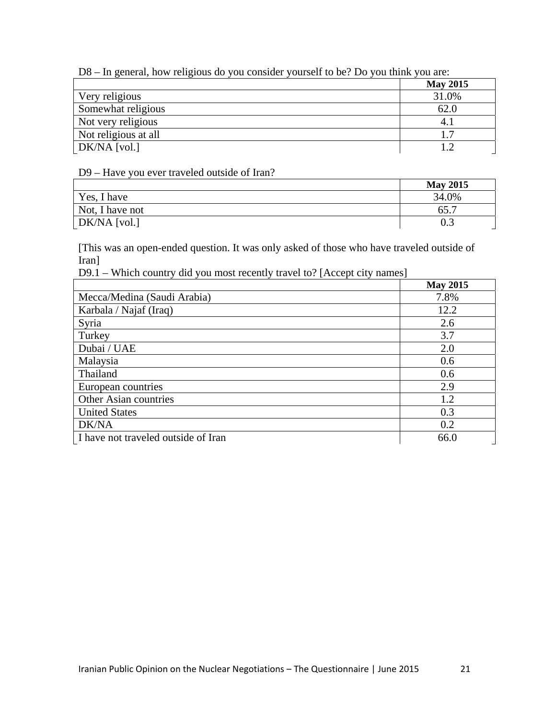D8 – In general, how religious do you consider yourself to be? Do you think you are:

|                      | <b>May 2015</b> |
|----------------------|-----------------|
| Very religious       | 31.0%           |
| Somewhat religious   | 62.0            |
| Not very religious   | $4_{.1}$        |
| Not religious at all | 17              |
| DK/NA [vol.]         |                 |

### D9 – Have you ever traveled outside of Iran?

|                 | <b>May 2015</b>  |
|-----------------|------------------|
| Yes, I have     | 34.0%            |
| Not, I have not | 65.7             |
| $DK/NA$ [vol.]  | $0.\overline{3}$ |

[This was an open-ended question. It was only asked of those who have traveled outside of Iran]

D9.1 – Which country did you most recently travel to? [Accept city names]

|                                     | <b>May 2015</b> |
|-------------------------------------|-----------------|
| Mecca/Medina (Saudi Arabia)         | 7.8%            |
| Karbala / Najaf (Iraq)              | 12.2            |
| Syria                               | 2.6             |
| Turkey                              | 3.7             |
| Dubai / UAE                         | 2.0             |
| Malaysia                            | 0.6             |
| Thailand                            | 0.6             |
| European countries                  | 2.9             |
| Other Asian countries               | 1.2             |
| <b>United States</b>                | 0.3             |
| DK/NA                               | 0.2             |
| I have not traveled outside of Iran | 66.0            |